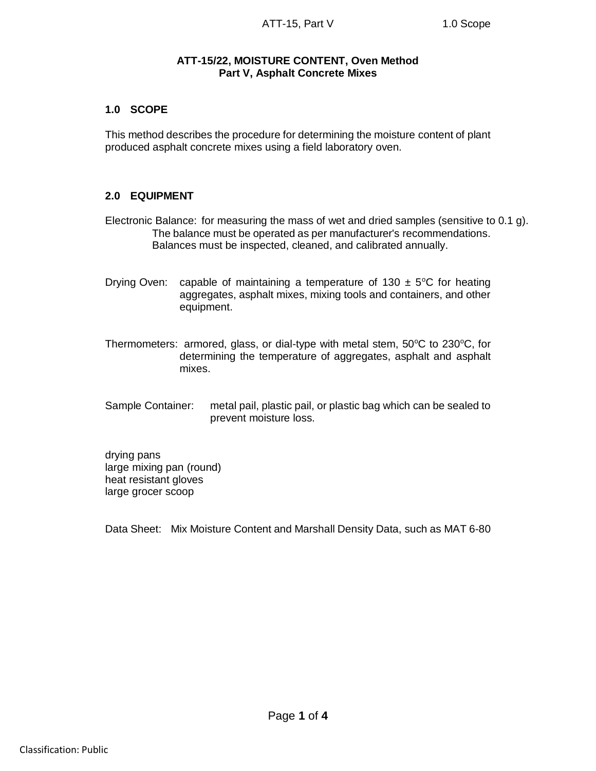## **ATT-15/22, MOISTURE CONTENT, Oven Method Part V, Asphalt Concrete Mixes**

# **1.0 SCOPE**

This method describes the procedure for determining the moisture content of plant produced asphalt concrete mixes using a field laboratory oven.

#### **2.0 EQUIPMENT**

Electronic Balance: for measuring the mass of wet and dried samples (sensitive to 0.1 g). The balance must be operated as per manufacturer's recommendations. Balances must be inspected, cleaned, and calibrated annually.

- Drying Oven: capable of maintaining a temperature of 130  $\pm$  5°C for heating aggregates, asphalt mixes, mixing tools and containers, and other equipment.
- Thermometers: armored, glass, or dial-type with metal stem,  $50^{\circ}$ C to  $230^{\circ}$ C, for determining the temperature of aggregates, asphalt and asphalt mixes.
- Sample Container: metal pail, plastic pail, or plastic bag which can be sealed to prevent moisture loss.

drying pans large mixing pan (round) heat resistant gloves large grocer scoop

Data Sheet: Mix Moisture Content and Marshall Density Data, such as MAT 6-80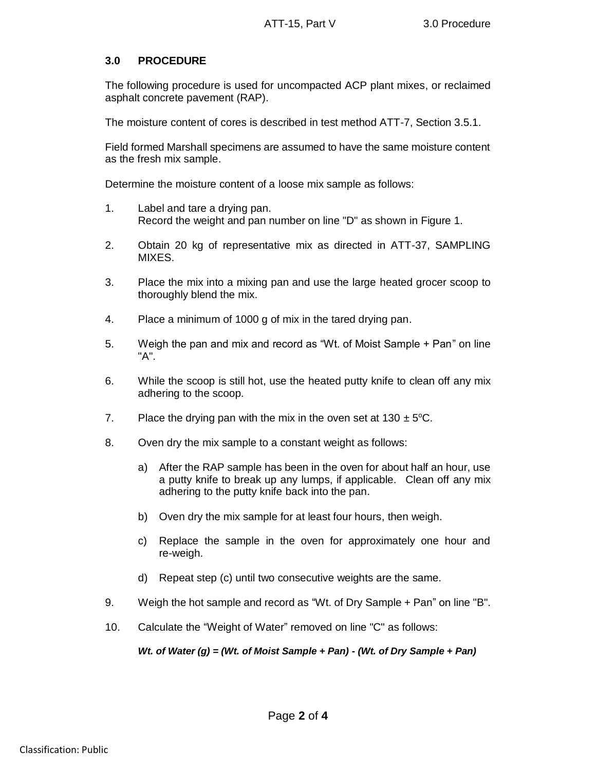## **3.0 PROCEDURE**

The following procedure is used for uncompacted ACP plant mixes, or reclaimed asphalt concrete pavement (RAP).

The moisture content of cores is described in test method ATT-7, Section 3.5.1.

Field formed Marshall specimens are assumed to have the same moisture content as the fresh mix sample.

Determine the moisture content of a loose mix sample as follows:

- 1. Label and tare a drying pan. Record the weight and pan number on line "D" as shown in Figure 1.
- 2. Obtain 20 kg of representative mix as directed in ATT-37, SAMPLING MIXES.
- 3. Place the mix into a mixing pan and use the large heated grocer scoop to thoroughly blend the mix.
- 4. Place a minimum of 1000 g of mix in the tared drying pan.
- 5. Weigh the pan and mix and record as "Wt. of Moist Sample + Pan" on line "A".
- 6. While the scoop is still hot, use the heated putty knife to clean off any mix adhering to the scoop.
- 7. Place the drying pan with the mix in the oven set at  $130 \pm 5^{\circ}$ C.
- 8. Oven dry the mix sample to a constant weight as follows:
	- a) After the RAP sample has been in the oven for about half an hour, use a putty knife to break up any lumps, if applicable. Clean off any mix adhering to the putty knife back into the pan.
	- b) Oven dry the mix sample for at least four hours, then weigh.
	- c) Replace the sample in the oven for approximately one hour and re-weigh.
	- d) Repeat step (c) until two consecutive weights are the same.
- 9. Weigh the hot sample and record as "Wt. of Dry Sample + Pan" on line "B".
- 10. Calculate the "Weight of Water" removed on line "C" as follows:

*Wt. of Water (g) = (Wt. of Moist Sample + Pan) - (Wt. of Dry Sample + Pan)*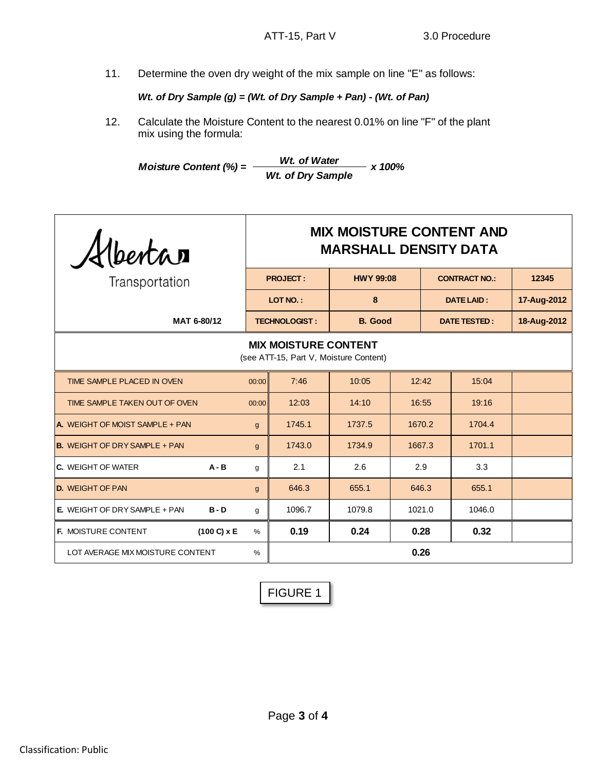11. Determine the oven dry weight of the mix sample on line "E" as follows:

*Wt. of Dry Sample (g) = (Wt. of Dry Sample + Pan) - (Wt. of Pan)*

12. Calculate the Moisture Content to the nearest 0.01% on line "F" of the plant mix using the formula:

*Moisture Content (%) = Wt. of Water x 100% Wt. of Dry Sample*

| Albertan                                                              | <b>MIX MOISTURE CONTENT AND</b><br><b>MARSHALL DENSITY DATA</b> |                      |                  |                   |  |                      |             |
|-----------------------------------------------------------------------|-----------------------------------------------------------------|----------------------|------------------|-------------------|--|----------------------|-------------|
| Transportation                                                        | <b>PROJECT:</b>                                                 |                      | <b>HWY 99:08</b> |                   |  | <b>CONTRACT NO.:</b> | 12345       |
|                                                                       | 8<br>LOT NO.:                                                   |                      |                  | <b>DATE LAID:</b> |  | 17-Aug-2012          |             |
| MAT 6-80/12                                                           |                                                                 | <b>TECHNOLOGIST:</b> | <b>B.</b> Good   |                   |  | <b>DATE TESTED:</b>  | 18-Aug-2012 |
| <b>MIX MOISTURE CONTENT</b><br>(see ATT-15, Part V, Moisture Content) |                                                                 |                      |                  |                   |  |                      |             |
| TIME SAMPLE PLACED IN OVEN                                            | 00:00                                                           | 7:46                 | 10:05            | 12:42             |  | 15:04                |             |
| TIME SAMPLE TAKEN OUT OF OVEN                                         | 00:00                                                           | 12:03                | 14:10            | 16:55             |  | 19:16                |             |
| <b>A.</b> WEIGHT OF MOIST SAMPLE + PAN                                | $\mathbf{q}$                                                    | 1745.1               | 1737.5           | 1670.2            |  | 1704.4               |             |
| <b>B.</b> WEIGHT OF DRY SAMPLE + PAN                                  | $\mathbf{q}$                                                    | 1743.0               | 1734.9           | 1667.3            |  | 1701.1               |             |
| <b>C.</b> WEIGHT OF WATER<br>$A - B$                                  | g                                                               | 2.1                  | 2.6              | 2.9               |  | 3.3                  |             |
| <b>D.</b> WEIGHT OF PAN                                               | $\mathbf{g}$                                                    | 646.3                | 655.1            | 646.3             |  | 655.1                |             |
| <b>E.</b> WEIGHT OF DRY SAMPLE + PAN<br>$B - D$                       | g                                                               | 1096.7               | 1079.8           | 1021.0            |  | 1046.0               |             |
| F. MOISTURE CONTENT<br>$(100 C) \times E$                             | $\frac{0}{0}$                                                   | 0.19                 | 0.24             | 0.28              |  | 0.32                 |             |
| LOT AVERAGE MIX MOISTURE CONTENT                                      | 0.26                                                            |                      |                  |                   |  |                      |             |

FIGURE 1